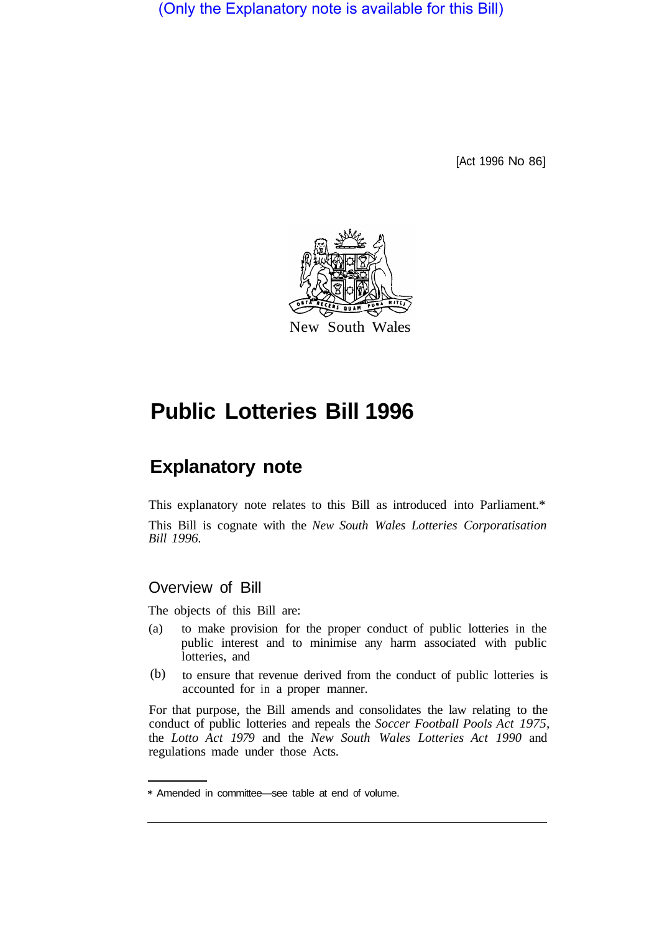(Only the Explanatory note is available for this Bill)

[Act 1996 No 86]



# **Public Lotteries Bill 1996**

# **Explanatory note**

This explanatory note relates to this Bill as introduced into Parliament.\* This Bill is cognate with the *New South Wales Lotteries Corporatisation Bill 1996.* 

# Overview of Bill

The objects of this Bill are:

- (a) to make provision for the proper conduct of public lotteries in the public interest and to minimise any harm associated with public lotteries, and
- to ensure that revenue derived from the conduct of public lotteries is accounted for in a proper manner. (b)

For that purpose, the Bill amends and consolidates the law relating to the conduct of public lotteries and repeals the *Soccer Football Pools Act 1975,*  the *Lotto Act 1979* and the *New South Wales Lotteries Act 1990* and regulations made under those Acts.

<sup>\*</sup> Amended in committee—see table at end of volume.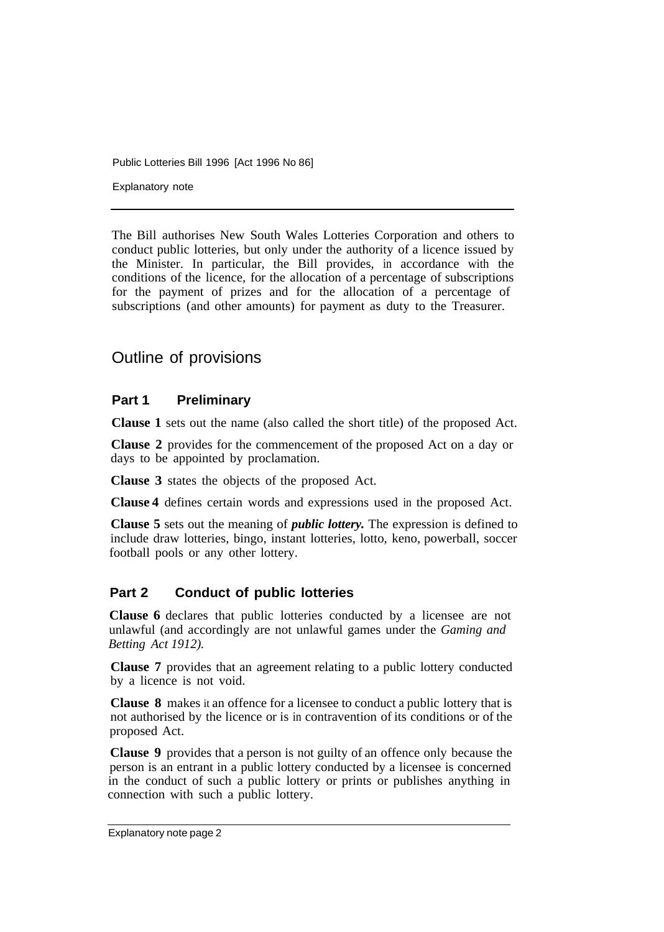Explanatory note

The Bill authorises New South Wales Lotteries Corporation and others to conduct public lotteries, but only under the authority of a licence issued by the Minister. In particular, the Bill provides, in accordance with the conditions of the licence, for the allocation of a percentage of subscriptions for the payment of prizes and for the allocation of a percentage of subscriptions (and other amounts) for payment as duty to the Treasurer.

# Outline of provisions

# **Part 1 Preliminary**

**Clause 1** sets out the name (also called the short title) of the proposed Act.

**Clause 2** provides for the commencement of the proposed Act on a day or days to be appointed by proclamation.

**Clause 3** states the objects of the proposed Act.

**Clause 4** defines certain words and expressions used in the proposed Act.

**Clause 5** sets out the meaning of *public lottery.* The expression is defined to include draw lotteries, bingo, instant lotteries, lotto, keno, powerball, soccer football pools or any other lottery.

## **Part 2 Conduct of public lotteries**

**Clause 6** declares that public lotteries conducted by a licensee are not unlawful (and accordingly are not unlawful games under the *Gaming and Betting Act 1912).*

**Clause 7** provides that an agreement relating to a public lottery conducted by a licence is not void.

**Clause 8** makes it an offence for a licensee to conduct a public lottery that is not authorised by the licence or is in contravention of its conditions or of the proposed Act.

**Clause 9** provides that a person is not guilty of an offence only because the person is an entrant in a public lottery conducted by a licensee is concerned in the conduct of such a public lottery or prints or publishes anything in connection with such a public lottery.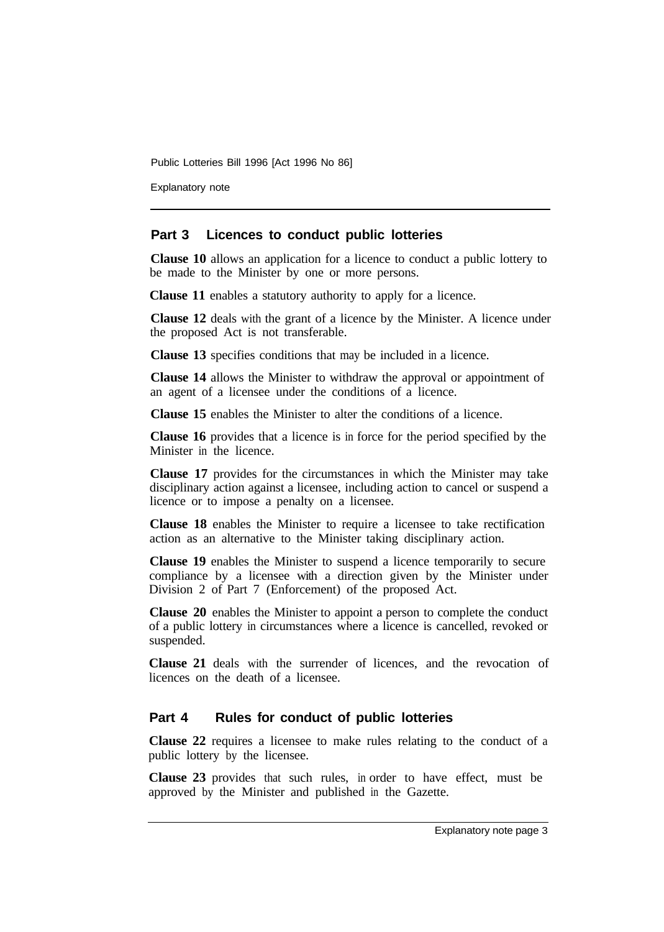Explanatory note

#### **Part 3 Licences to conduct public lotteries**

**Clause 10** allows an application for a licence to conduct a public lottery to be made to the Minister by one or more persons.

**Clause 11** enables a statutory authority to apply for a licence.

**Clause 12** deals with the grant of a licence by the Minister. A licence under the proposed Act is not transferable.

**Clause 13** specifies conditions that may be included in a licence.

**Clause 14** allows the Minister to withdraw the approval or appointment of an agent of a licensee under the conditions of a licence.

**Clause 15** enables the Minister to alter the conditions of a licence.

**Clause 16** provides that a licence is in force for the period specified by the Minister in the licence.

**Clause 17** provides for the circumstances in which the Minister may take disciplinary action against a licensee, including action to cancel or suspend a licence or to impose a penalty on a licensee.

**Clause 18** enables the Minister to require a licensee to take rectification action as an alternative to the Minister taking disciplinary action.

**Clause 19** enables the Minister to suspend a licence temporarily to secure compliance by a licensee with a direction given by the Minister under Division 2 of Part 7 (Enforcement) of the proposed Act.

**Clause 20** enables the Minister to appoint a person to complete the conduct of a public lottery in circumstances where a licence is cancelled, revoked or suspended.

**Clause 21** deals with the surrender of licences, and the revocation of licences on the death of a licensee.

#### **Part 4 Rules for conduct of public lotteries**

**Clause 22** requires a licensee to make rules relating to the conduct of a public lottery by the licensee.

**Clause 23** provides that such rules, in order to have effect, must be approved by the Minister and published in the Gazette.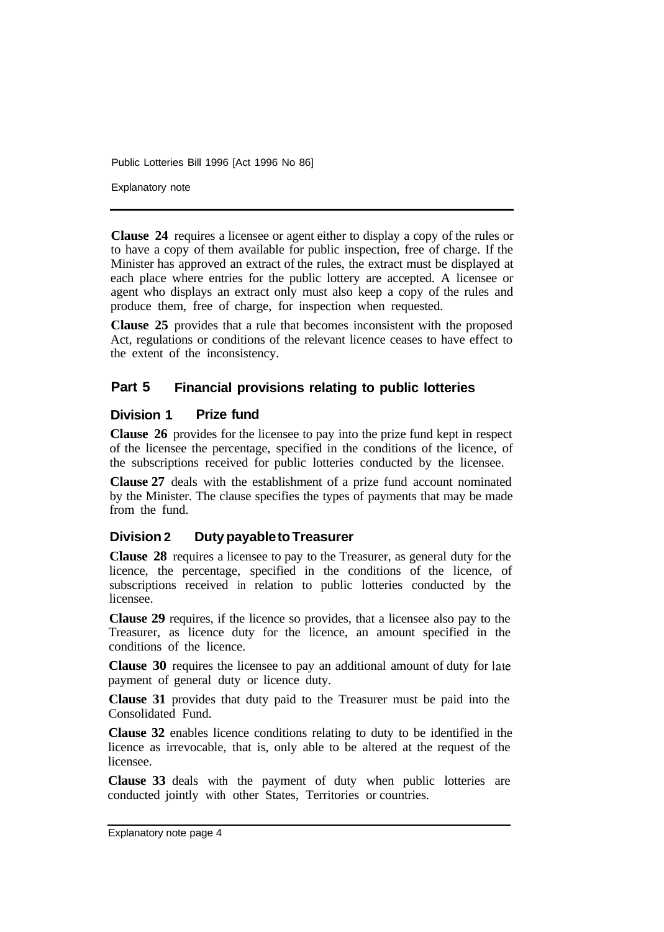Explanatory note

**Clause 24** requires a licensee or agent either to display a copy of the rules or to have a copy of them available for public inspection, free of charge. If the Minister has approved an extract of the rules, the extract must be displayed at each place where entries for the public lottery are accepted. A licensee or agent who displays an extract only must also keep a copy of the rules and produce them, free of charge, for inspection when requested.

**Clause 25** provides that a rule that becomes inconsistent with the proposed Act, regulations or conditions of the relevant licence ceases to have effect to the extent of the inconsistency.

### **Part 5 Financial provisions relating to public lotteries**

#### **Division 1 Prize fund**

**Clause 26** provides for the licensee to pay into the prize fund kept in respect of the licensee the percentage, specified in the conditions of the licence, of the subscriptions received for public lotteries conducted by the licensee.

**Clause 27** deals with the establishment of a prize fund account nominated by the Minister. The clause specifies the types of payments that may be made from the fund.

## **Division 2 Duty payable to Treasurer**

**Clause 28** requires a licensee to pay to the Treasurer, as general duty for the licence, the percentage, specified in the conditions of the licence, of subscriptions received in relation to public lotteries conducted by the licensee.

**Clause 29** requires, if the licence so provides, that a licensee also pay to the Treasurer, as licence duty for the licence, an amount specified in the conditions of the licence.

**Clause 30** requires the licensee to pay an additional amount of duty for late payment of general duty or licence duty.

**Clause 31** provides that duty paid to the Treasurer must be paid into the Consolidated Fund.

**Clause 32** enables licence conditions relating to duty to be identified in the licence as irrevocable, that is, only able to be altered at the request of the licensee.

**Clause 33** deals with the payment of duty when public lotteries are conducted jointly with other States, Territories or countries.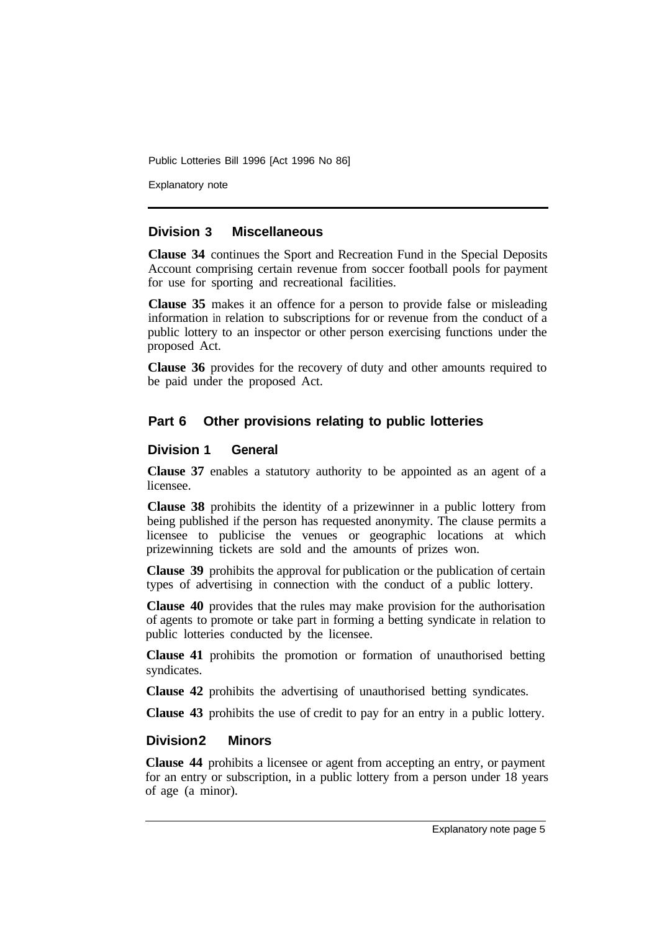Explanatory note

### **Division 3 Miscellaneous**

**Clause 34** continues the Sport and Recreation Fund in the Special Deposits Account comprising certain revenue from soccer football pools for payment for use for sporting and recreational facilities.

**Clause 35** makes it an offence for a person to provide false or misleading information in relation to subscriptions for or revenue from the conduct of a public lottery to an inspector or other person exercising functions under the proposed Act.

**Clause 36** provides for the recovery of duty and other amounts required to be paid under the proposed Act.

# **Part 6 Other provisions relating to public lotteries**

### **Division 1 General**

**Clause 37** enables a statutory authority to be appointed as an agent of a licensee.

**Clause 38** prohibits the identity of a prizewinner in a public lottery from being published if the person has requested anonymity. The clause permits a licensee to publicise the venues or geographic locations at which prizewinning tickets are sold and the amounts of prizes won.

**Clause 39** prohibits the approval for publication or the publication of certain types of advertising in connection with the conduct of a public lottery.

**Clause 40** provides that the rules may make provision for the authorisation of agents to promote or take part in forming a betting syndicate in relation to public lotteries conducted by the licensee.

**Clause 41** prohibits the promotion or formation of unauthorised betting syndicates.

**Clause 42** prohibits the advertising of unauthorised betting syndicates.

**Clause 43** prohibits the use of credit to pay for an entry in a public lottery.

#### **Division 2 Minors**

**Clause 44** prohibits a licensee or agent from accepting an entry, or payment for an entry or subscription, in a public lottery from a person under 18 years of age (a minor).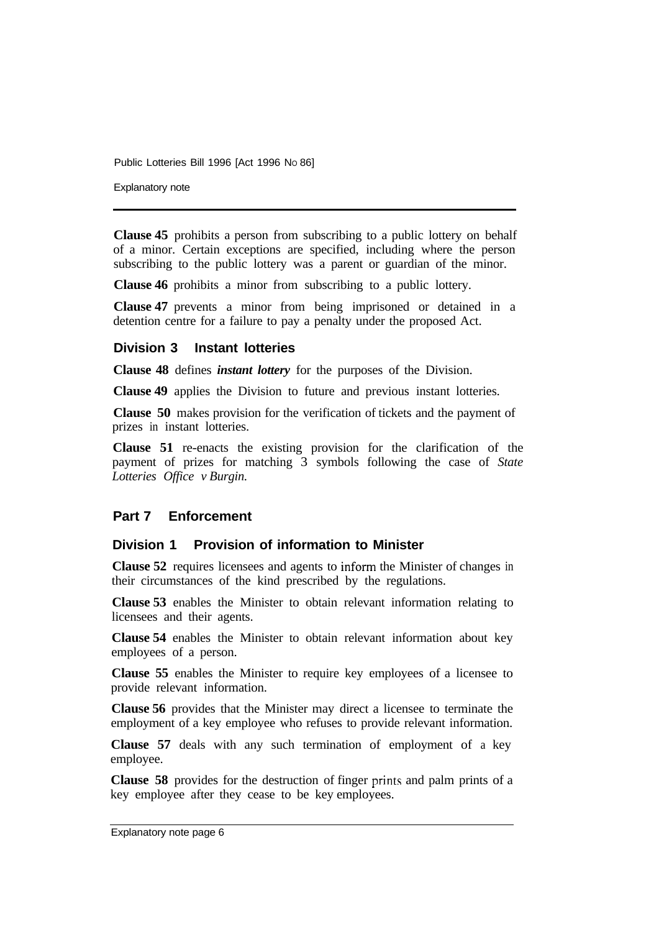Explanatory note

**Clause 45** prohibits a person from subscribing to a public lottery on behalf of a minor. Certain exceptions are specified, including where the person subscribing to the public lottery was a parent or guardian of the minor.

**Clause 46** prohibits a minor from subscribing to a public lottery.

**Clause 47** prevents a minor from being imprisoned or detained in a detention centre for a failure to pay a penalty under the proposed Act.

#### **Division 3 Instant lotteries**

**Clause 48** defines *instant lottery* for the purposes of the Division.

**Clause 49** applies the Division to future and previous instant lotteries.

**Clause 50** makes provision for the verification of tickets and the payment of prizes in instant lotteries.

**Clause 51** re-enacts the existing provision for the clarification of the payment of prizes for matching 3 symbols following the case of *State Lotteries Office v Burgin.* 

#### **Part 7 Enforcement**

#### **Division 1 Provision of information to Minister**

**Clause 52** requires licensees and agents to inform the Minister of changes in their circumstances of the kind prescribed by the regulations.

**Clause 53** enables the Minister to obtain relevant information relating to licensees and their agents.

**Clause 54** enables the Minister to obtain relevant information about key employees of a person.

**Clause 55** enables the Minister to require key employees of a licensee to provide relevant information.

**Clause 56** provides that the Minister may direct a licensee to terminate the employment of a key employee who refuses to provide relevant information.

**Clause 57** deals with any such termination of employment of a key employee.

**Clause 58** provides for the destruction of finger prints and palm prints of a key employee after they cease to be key employees.

Explanatory note page 6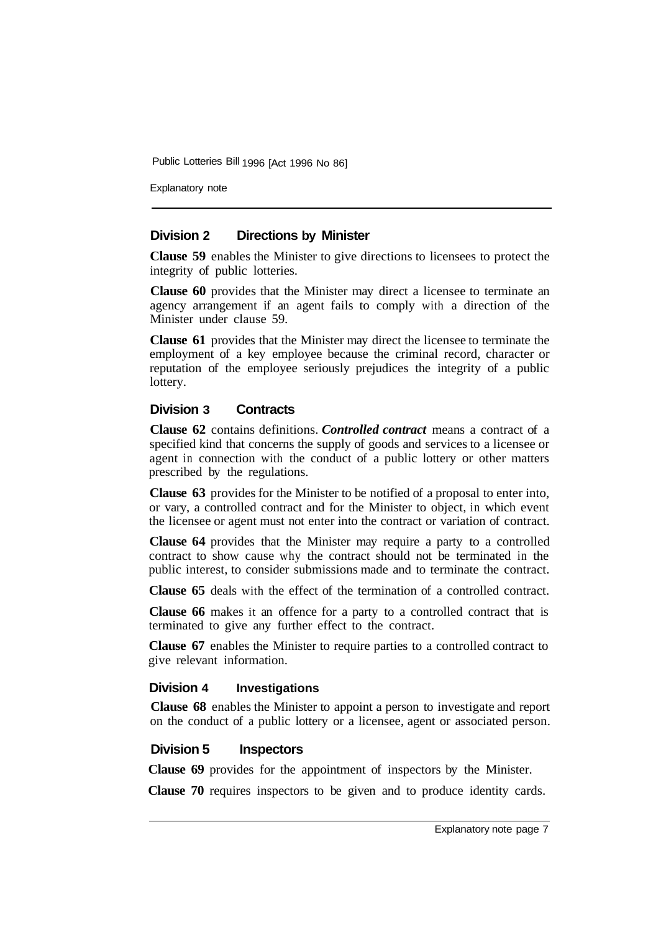Explanatory note

### **Division 2 Directions by Minister**

**Clause 59** enables the Minister to give directions to licensees to protect the integrity of public lotteries.

**Clause 60** provides that the Minister may direct a licensee to terminate an agency arrangement if an agent fails to comply with a direction of the Minister under clause 59.

**Clause 61** provides that the Minister may direct the licensee to terminate the employment of a key employee because the criminal record, character or reputation of the employee seriously prejudices the integrity of a public lottery.

### **Division 3 Contracts**

**Clause 62** contains definitions. *Controlled contract* means a contract of a specified kind that concerns the supply of goods and services to a licensee or agent in connection with the conduct of a public lottery or other matters prescribed by the regulations.

**Clause 63** provides for the Minister to be notified of a proposal to enter into, or vary, a controlled contract and for the Minister to object, in which event the licensee or agent must not enter into the contract or variation of contract.

**Clause 64** provides that the Minister may require a party to a controlled contract to show cause why the contract should not be terminated in the public interest, to consider submissions made and to terminate the contract.

**Clause 65** deals with the effect of the termination of a controlled contract.

**Clause 66** makes it an offence for a party to a controlled contract that is terminated to give any further effect to the contract.

**Clause 67** enables the Minister to require parties to a controlled contract to give relevant information.

#### **Division 4 Investigations**

**Clause 68** enables the Minister to appoint a person to investigate and report on the conduct of a public lottery or a licensee, agent or associated person.

#### **Division 5 Inspectors**

**Clause 69** provides for the appointment of inspectors by the Minister.

**Clause 70** requires inspectors to be given and to produce identity cards.